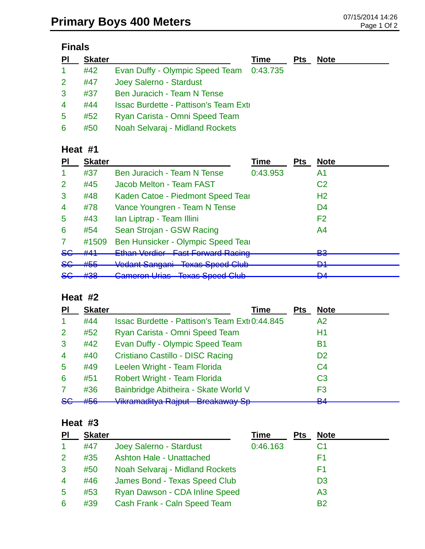## **Finals**

| PI                   | <b>Skater</b> |                                                | Time | <b>Pts</b> | <b>Note</b> |
|----------------------|---------------|------------------------------------------------|------|------------|-------------|
| $\blacktriangleleft$ | #42           | Evan Duffy - Olympic Speed Team 0:43.735       |      |            |             |
| 2 <sup>1</sup>       | #47           | Joey Salerno - Stardust                        |      |            |             |
| 3                    | #37           | Ben Juracich - Team N Tense                    |      |            |             |
| 4                    | #44           | <b>Issac Burdette - Pattison's Team Extill</b> |      |            |             |
| 5                    | #52           | Ryan Carista - Omni Speed Team                 |      |            |             |
| 6                    | #50           | Noah Selvaraj - Midland Rockets                |      |            |             |

## **Heat #1**

| ΡI               | <b>Skater</b>   |                                                                                       | Time     | <b>Pts</b> | <b>Note</b>    |
|------------------|-----------------|---------------------------------------------------------------------------------------|----------|------------|----------------|
|                  | #37             | Ben Juracich - Team N Tense                                                           | 0:43.953 |            | A1             |
| 2                | #45             | Jacob Melton - Team FAST                                                              |          |            | C <sub>2</sub> |
| 3                | #48             | Kaden Catoe - Piedmont Speed Tear                                                     |          |            | H <sub>2</sub> |
| $\overline{4}$   | #78             | Vance Youngren - Team N Tense                                                         |          |            | D <sub>4</sub> |
| 5                | #43             | Ian Liptrap - Team Illini                                                             |          |            | F <sub>2</sub> |
| 6                | #54             | Sean Strojan - GSW Racing                                                             |          |            | A4             |
|                  | #1509           | Ben Hunsicker - Olympic Speed Tear                                                    |          |            |                |
| <del>SC</del>    | #41             | Ethan Verdier Fast Forward Racing                                                     |          |            | פם<br>pu       |
| <del>SG</del>    | #55             | Vedant Sangani Texas Speed Club                                                       |          |            | D1<br>▱        |
| <u>ے م</u><br>ᢦᢦ | 400<br>$\pi$ JU | Comeran Liriga Tovas Spood Club<br><u>מטוט טטטקט טומטז</u><br><del>Uamoron Unao</del> |          |            | <b>DA</b><br>▱ |

## **Heat #2**

| PI                   | <b>Skater</b> | Time                                                 | <b>Pts</b> | <b>Note</b>          |
|----------------------|---------------|------------------------------------------------------|------------|----------------------|
| $\blacktriangleleft$ | #44           | <b>Issac Burdette - Pattison's Team Exti0:44.845</b> |            | A <sub>2</sub>       |
| 2                    | #52           | Ryan Carista - Omni Speed Team                       |            | Η1                   |
| 3                    | #42           | Evan Duffy - Olympic Speed Team                      |            | <b>B1</b>            |
| $\overline{4}$       | #40           | Cristiano Castillo - DISC Racing                     |            | D <sub>2</sub>       |
| 5                    | #49           | Leelen Wright - Team Florida                         |            | C <sub>4</sub>       |
| 6                    | #51           | Robert Wright - Team Florida                         |            | C <sub>3</sub>       |
| 7                    | #36           | Bainbridge Abitheira - Skate World V                 |            | F3                   |
| 86                   | #56           | Vikramaditya Rajput Breakaway Sp                     |            | D <sub>A</sub><br>Бп |

#### **Heat #3**

| PI             | <b>Skater</b> |                                 | <b>Time</b> | <b>Pts</b> | <b>Note</b>    |
|----------------|---------------|---------------------------------|-------------|------------|----------------|
|                | #47           | Joey Salerno - Stardust         | 0:46.163    |            | C <sub>1</sub> |
| $\overline{2}$ | #35           | <b>Ashton Hale - Unattached</b> |             |            | F1             |
| 3              | #50           | Noah Selvaraj - Midland Rockets |             |            | F1             |
| $\overline{4}$ | #46           | James Bond - Texas Speed Club   |             |            | D <sub>3</sub> |
| 5              | #53           | Ryan Dawson - CDA Inline Speed  |             |            | A <sub>3</sub> |
| 6              | #39           | Cash Frank - Caln Speed Team    |             |            | B2             |